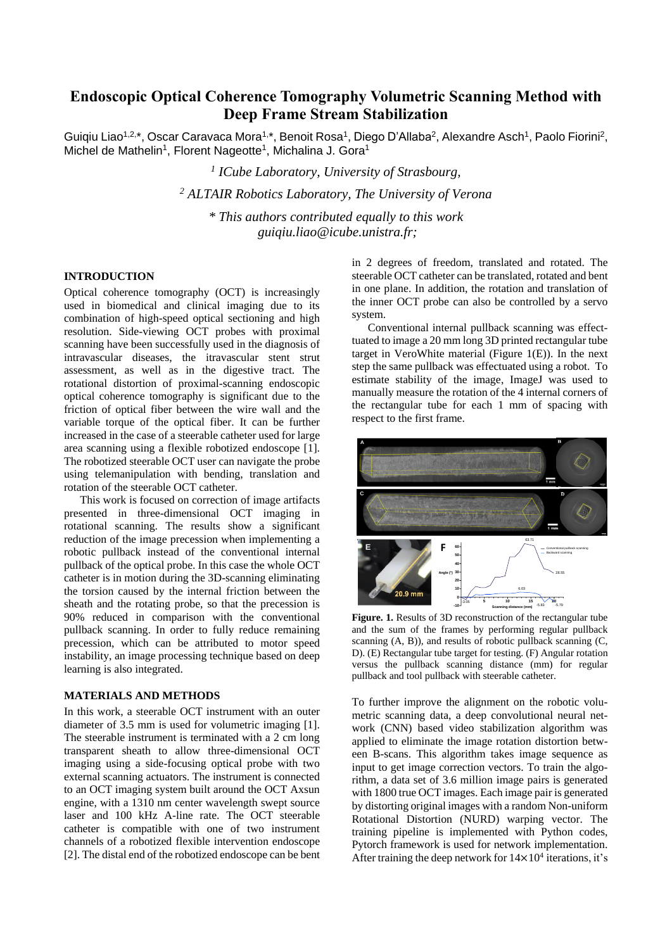# **Endoscopic Optical Coherence Tomography Volumetric Scanning Method with Deep Frame Stream Stabilization**

Guiqiu Liao<sup>1,2,\*</sup>, Oscar Caravaca Mora<sup>1,\*</sup>, Benoit Rosa<sup>1</sup>, Diego D'Allaba<sup>2</sup>, Alexandre Asch<sup>1</sup>, Paolo Fiorini<sup>2</sup>, Michel de Mathelin<sup>1</sup>, Florent Nageotte<sup>1</sup>, Michalina J. Gora<sup>1</sup>

> *1 ICube Laboratory, University of Strasbourg, <sup>2</sup> ALTAIR Robotics Laboratory, The University of Verona \* This authors contributed equally to this work guiqiu.liao@icube.unistra.fr;*

# **INTRODUCTION**

Optical coherence tomography (OCT) is increasingly used in biomedical and clinical imaging due to its combination of high-speed optical sectioning and high resolution. Side-viewing OCT probes with proximal scanning have been successfully used in the diagnosis of intravascular diseases, the itravascular stent strut assessment, as well as in the digestive tract. The rotational distortion of proximal-scanning endoscopic optical coherence tomography is significant due to the friction of optical fiber between the wire wall and the variable torque of the optical fiber. It can be further increased in the case of a steerable catheter used for large area scanning using a flexible robotized endoscope [1]. The robotized steerable OCT user can navigate the probe using telemanipulation with bending, translation and rotation of the steerable OCT catheter.

This work is focused on correction of image artifacts presented in three-dimensional OCT imaging in rotational scanning. The results show a significant reduction of the image precession when implementing a robotic pullback instead of the conventional internal pullback of the optical probe. In this case the whole OCT catheter is in motion during the 3D-scanning eliminating the torsion caused by the internal friction between the the tots on caused by the internal friction between the sheath and the rotating probe, so that the precession is 90% reduced in comparison with the conventional pullback scanning. In order to fully reduce remaining precession, which can be attributed to motor speed instability, an image processing technique based on deep learning is also integrated.

### **MATERIALS AND METHODS**

In this work, a steerable OCT instrument with an outer diameter of 3.5 mm is used for volumetric imaging [1]. The steerable instrument is terminated with a 2 cm long transparent sheath to allow three-dimensional OCT imaging using a side-focusing optical probe with two external scanning actuators. The instrument is connected to an OCT imaging system built around the OCT Axsun engine, with a 1310 nm center wavelength swept source laser and 100 kHz A-line rate. The OCT steerable catheter is compatible with one of two instrument channels of a robotized flexible intervention endoscope [2]. The distal end of the robotized endoscope can be bent in 2 degrees of freedom, translated and rotated. The steerable OCT catheter can be translated, rotated and bent in one plane. In addition, the rotation and translation of the inner OCT probe can also be controlled by a servo system.

Conventional internal pullback scanning was effecttuated to image a 20 mm long 3D printed rectangular tube target in VeroWhite material (Figure 1(E)). In the next step the same pullback was effectuated using a robot. To estimate stability of the image, ImageJ was used to manually measure the rotation of the 4 internal corners of the rectangular tube for each 1 mm of spacing with respect to the first frame.



**Figure. 1.** Results of 3D reconstruction of the rectangular tube and the sum of the frames by performing regular pullback scanning  $(A, B)$ ), and results of robotic pullback scanning  $(C,$ D). (E) Rectangular tube target for testing. (F) Angular rotation versus the pullback scanning distance (mm) for regular pullback and tool pullback with steerable catheter.

To further improve the alignment on the robotic volumetric scanning data, a deep convolutional neural network (CNN) based video stabilization algorithm was applied to eliminate the image rotation distortion between B-scans. This algorithm takes image sequence as input to get image correction vectors. To train the algorithm, a data set of 3.6 million image pairs is generated with 1800 true OCT images. Each image pair is generated by distorting original images with a random Non-uniform Rotational Distortion (NURD) warping vector. The training pipeline is implemented with Python codes, Pytorch framework is used for network implementation. After training the deep network for  $14 \times 10^4$  iterations, it's